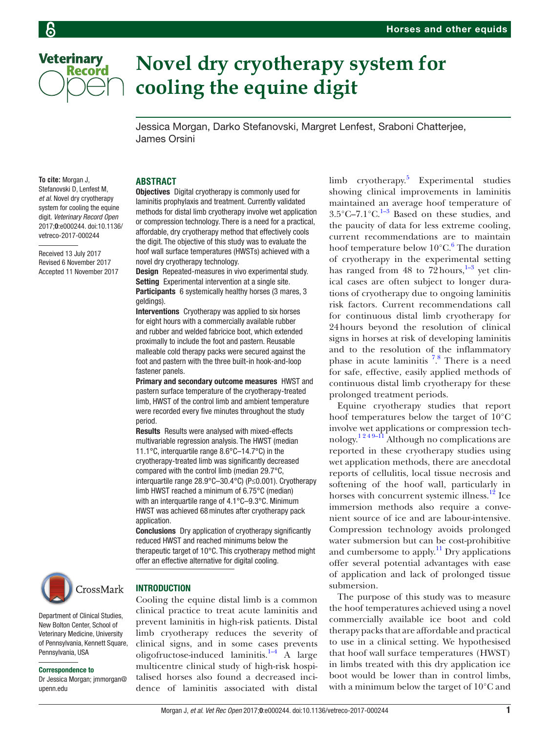

# **Novel dry cryotherapy system for cooling the equine digit**

Jessica Morgan, Darko Stefanovski, Margret Lenfest, Sraboni Chatterjee, James Orsini

# **ABSTRACT**

**To cite:** Morgan J, Stefanovski D, Lenfest M, *et al*. Novel dry cryotherapy system for cooling the equine digit. *Veterinary Record Open*  2017;0:e000244. doi:10.1136/ vetreco-2017-000244

Received 13 July 2017 Revised 6 November 2017 Accepted 11 November 2017



## **INTRODUCTION**

Department of Clinical Studies, New Bolton Center, School of Veterinary Medicine, University of Pennsylvania, Kennett Square, Pennsylvania, USA

Correspondence to

 Dr Jessica Morgan; jmmorgan@ [upenn.edu](https://upenn.edu)

Objectives Digital cryotherapy is commonly used for laminitis prophylaxis and treatment. Currently validated methods for distal limb cryotherapy involve wet application or compression technology. There is a need for a practical, affordable, dry cryotherapy method that effectively cools the digit. The objective of this study was to evaluate the hoof wall surface temperatures (HWSTs) achieved with a novel dry cryotherapy technology.

Design Repeated-measures in vivo experimental study. Setting Experimental intervention at a single site. Participants 6 systemically healthy horses (3 mares, 3 geldings).

Interventions Cryotherapy was applied to six horses for eight hours with a commercially available rubber and rubber and welded fabricice boot, which extended proximally to include the foot and pastern. Reusable malleable cold therapy packs were secured against the foot and pastern with the three built-in hook-and-loop fastener panels.

Primary and secondary outcome measures HWST and pastern surface temperature of the cryotherapy-treated limb, HWST of the control limb and ambient temperature were recorded every five minutes throughout the study period.

Results Results were analysed with mixed-effects multivariable regression analysis. The HWST (median 11.1°C, interquartile range 8.6°C–14.7°C) in the cryotherapy-treated limb was signifcantly decreased compared with the control limb (median 29.7°C, interquartile range 28.9°C–30.4°C) (P≤0.001). Cryotherapy limb HWST reached a minimum of 6.75°C (median) with an interquartile range of 4.1°C–9.3°C. Minimum HWST was achieved 68 minutes after cryotherapy pack application.

**Conclusions** Dry application of cryotherapy significantly reduced HWST and reached minimums below the therapeutic target of 10°C. This cryotherapy method might offer an effective alternative for digital cooling.

Cooling the equine distal limb is a common clinical practice to treat acute laminitis and prevent laminitis in high-risk patients. Distal limb cryotherapy reduces the severity of clinical signs, and in some cases prevents oligofructose-induced laminitis. $1-4$  A large multicentre clinical study of high-risk hospitalised horses also found a decreased incidence of laminitis associated with distal

limb cryotherapy.<sup>5</sup> Experimental studies showing clinical improvements in laminitis maintained an average hoof temperature of  $3.5^{\circ}$ C–7.1 $^{\circ}$ C.<sup>1–3</sup> Based on these studies, and the paucity of data for less extreme cooling, current recommendations are to maintain hoof temperature below  $10^{\circ}$ C.<sup>[6](#page-5-2)</sup> The duration of cryotherapy in the experimental setting has ranged from 48 to  $72$  hours,<sup>1-3</sup> yet clinical cases are often subject to longer durations of cryotherapy due to ongoing laminitis risk factors. Current recommendations call for continuous distal limb cryotherapy for 24hours beyond the resolution of clinical signs in horses at risk of developing laminitis and to the resolution of the inflammatory phase in acute laminitis<sup>[7](#page-5-3)[8](#page-5-4)</sup>. There is a need for safe, effective, easily applied methods of continuous distal limb cryotherapy for these prolonged treatment periods.

Equine cryotherapy studies that report hoof temperatures below the target of 10°C involve wet applications or compression technology.<sup>1249–11</sup> Although no complications are reported in these cryotherapy studies using wet application methods, there are anecdotal reports of cellulitis, local tissue necrosis and softening of the hoof wall, particularly in horses with concurrent systemic illness.<sup>12</sup> Ice immersion methods also require a convenient source of ice and are labour-intensive. Compression technology avoids prolonged water submersion but can be cost-prohibitive and cumbersome to apply.<sup>11</sup> Dry applications offer several potential advantages with ease of application and lack of prolonged tissue submersion.

The purpose of this study was to measure the hoof temperatures achieved using a novel commercially available ice boot and cold therapy packs that are affordable and practical to use in a clinical setting. We hypothesised that hoof wall surface temperatures (HWST) in limbs treated with this dry application ice boot would be lower than in control limbs, with a minimum below the target of 10°C and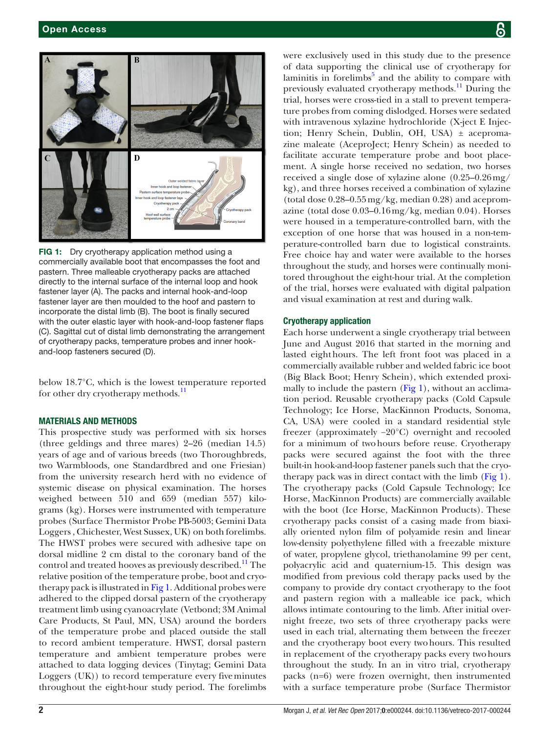

<span id="page-1-0"></span>**FIG 1:** Dry cryotherapy application method using a commercially available boot that encompasses the foot and pastern. Three malleable cryotherapy packs are attached directly to the internal surface of the internal loop and hook fastener layer (A). The packs and internal hook-and-loop fastener layer are then moulded to the hoof and pastern to incorporate the distal limb (B). The boot is finally secured with the outer elastic layer with hook-and-loop fastener flaps (C). Sagittal cut of distal limb demonstrating the arrangement of cryotherapy packs, temperature probes and inner hookand-loop fasteners secured (D).

below 18.7°C, which is the lowest temperature reported for other dry cryotherapy methods.<sup>11</sup>

#### MATERIALS AND METHODS

This prospective study was performed with six horses (three geldings and three mares) 2–26 (median 14.5) years of age and of various breeds (two Thoroughbreds, two Warmbloods, one Standardbred and one Friesian) from the university research herd with no evidence of systemic disease on physical examination. The horses weighed between 510 and 659 (median 557) kilograms (kg). Horses were instrumented with temperature probes (Surface Thermistor Probe PB-5003; Gemini Data Loggers , Chichester, West Sussex, UK) on both forelimbs. The HWST probes were secured with adhesive tape on dorsal midline 2 cm distal to the coronary band of the control and treated hooves as previously described.<sup>11</sup> The relative position of the temperature probe, boot and cryotherapy pack is illustrated in [Fig 1](#page-1-0). Additional probes were adhered to the clipped dorsal pastern of the cryotherapy treatment limb using cyanoacrylate (Vetbond; 3M Animal Care Products, St Paul, MN, USA) around the borders of the temperature probe and placed outside the stall to record ambient temperature. HWST, dorsal pastern temperature and ambient temperature probes were attached to data logging devices (Tinytag; Gemini Data Loggers (UK)) to record temperature every fiveminutes throughout the eight-hour study period. The forelimbs were exclusively used in this study due to the presence of data supporting the clinical use of cryotherapy for laminitis in forelimbs $5$  and the ability to compare with previously evaluated cryotherapy methods.<sup>[11](#page-5-6)</sup> During the trial, horses were cross-tied in a stall to prevent temperature probes from coming dislodged. Horses were sedated with intravenous xylazine hydrochloride (X-ject E Injection; Henry Schein, Dublin, OH, USA) ± acepromazine maleate (AceproJect; Henry Schein) as needed to facilitate accurate temperature probe and boot placement. A single horse received no sedation, two horses received a single dose of xylazine alone (0.25–0.26mg/ kg), and three horses received a combination of xylazine (total dose 0.28–0.55mg/kg, median 0.28) and acepromazine (total dose [0.03–0.16](https://0.03�0.16) mg/kg, median 0.04). Horses were housed in a temperature-controlled barn, with the exception of one horse that was housed in a non-temperature-controlled barn due to logistical constraints. Free choice hay and water were available to the horses throughout the study, and horses were continually monitored throughout the eight-hour trial. At the completion of the trial, horses were evaluated with digital palpation and visual examination at rest and during walk.

#### Cryotherapy application

 of water, propylene glycol, triethanolamine 99 per cent, Each horse underwent a single cryotherapy trial between June and August 2016 that started in the morning and lasted eight hours. The left front foot was placed in a commercially available rubber and welded fabric ice boot (Big Black Boot; Henry Schein), which extended proximally to include the pastern  $(Fig 1)$  $(Fig 1)$  $(Fig 1)$ , without an acclimation period. Reusable cryotherapy packs (Cold Capsule Technology; Ice Horse, MacKinnon Products, Sonoma, CA, USA) were cooled in a standard residential style freezer (approximately −20°C) overnight and recooled for a minimum of two hours before reuse. Cryotherapy packs were secured against the foot with the three built-in hook-and-loop fastener panels such that the cryotherapy pack was in direct contact with the limb ([Fig 1](#page-1-0)). The cryotherapy packs (Cold Capsule Technology; Ice Horse, MacKinnon Products) are commercially available with the boot (Ice Horse, MacKinnon Products). These cryotherapy packs consist of a casing made from biaxially oriented nylon film of polyamide resin and linear low-density polyethylene filled with a freezable mixture polyacrylic acid and quaternium-15. This design was modified from previous cold therapy packs used by the company to provide dry contact cryotherapy to the foot and pastern region with a malleable ice pack, which allows intimate contouring to the limb. After initial overnight freeze, two sets of three cryotherapy packs were used in each trial, alternating them between the freezer and the cryotherapy boot every two hours. This resulted in replacement of the cryotherapy packs every twohours throughout the study. In an in vitro trial, cryotherapy packs (n=6) were frozen overnight, then instrumented with a surface temperature probe (Surface Thermistor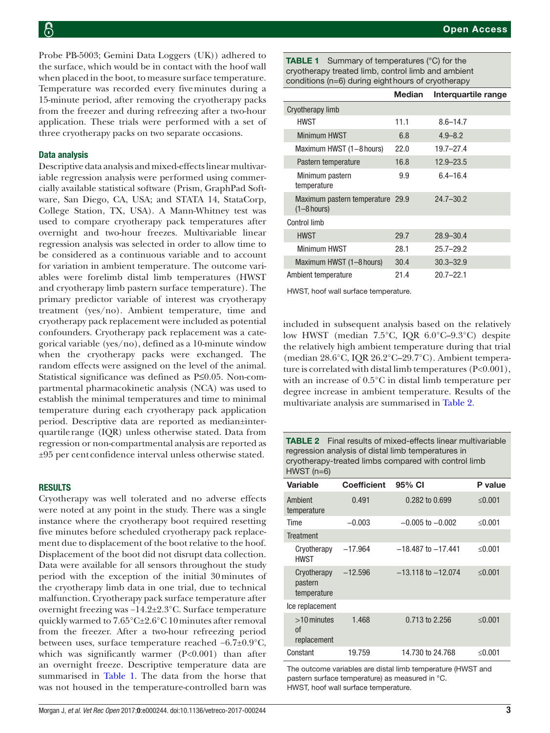Probe PB-5003; Gemini Data Loggers (UK)) adhered to the surface, which would be in contact with the hoof wall when placed in the boot, to measure surface temperature. Temperature was recorded every fiveminutes during a 15-minute period, after removing the cryotherapy packs from the freezer and during refreezing after a two-hour application. These trials were performed with a set of three cryotherapy packs on two separate occasions.

### Data analysis

Descriptive data analysis and mixed-effects linear multivariable regression analysis were performed using commercially available statistical software (Prism, GraphPad Software, San Diego, CA, USA; and STATA 14, StataCorp, College Station, TX, USA). A Mann-Whitney test was used to compare cryotherapy pack temperatures after overnight and two-hour freezes. Multivariable linear regression analysis was selected in order to allow time to be considered as a continuous variable and to account for variation in ambient temperature. The outcome variables were forelimb distal limb temperatures (HWST and cryotherapy limb pastern surface temperature). The primary predictor variable of interest was cryotherapy treatment (yes/no). Ambient temperature, time and cryotherapy pack replacement were included as potential confounders. Cryotherapy pack replacement was a categorical variable (yes/no), defined as a 10-minute window when the cryotherapy packs were exchanged. The random effects were assigned on the level of the animal. Statistical significance was defined as P≤0.05. Non-compartmental pharmacokinetic analysis (NCA) was used to establish the minimal temperatures and time to minimal temperature during each cryotherapy pack application period. Descriptive data are reported as median±interquartile range (IQR) unless otherwise stated. Data from regression or non-compartmental analysis are reported as ±95 per cent confidence interval unless otherwise stated.

#### RESULTS

Cryotherapy was well tolerated and no adverse effects were noted at any point in the study. There was a single instance where the cryotherapy boot required resetting five minutes before scheduled cryotherapy pack replacement due to displacement of the boot relative to the hoof. Displacement of the boot did not disrupt data collection. Data were available for all sensors throughout the study period with the exception of the initial 30minutes of the cryotherapy limb data in one trial, due to technical malfunction. Cryotherapy pack surface temperature after overnight freezing was −14.2±2.3°C. Surface temperature quickly warmed to 7.65°C±2.6°C 10minutes after removal from the freezer. After a two-hour refreezing period between uses, surface temperature reached −6.7±0.9°C, which was significantly warmer (P<0.001) than after an overnight freeze. Descriptive temperature data are summarised in [Table 1.](#page-2-0) The data from the horse that was not housed in the temperature-controlled barn was

<span id="page-2-0"></span>TABLE 1 Summary of temperatures (°C) for the cryotherapy treated limb, control limb and ambient conditions (n=6) during eighthours of cryotherapy

|                                              | <b>Median</b> | Interguartile range |
|----------------------------------------------|---------------|---------------------|
| Cryotherapy limb                             |               |                     |
| <b>HWST</b>                                  | 11.1          | $8.6 - 14.7$        |
| Minimum HWST                                 | 6.8           | $4.9 - 8.2$         |
| Maximum HWST (1-8 hours)                     | 22.0          | $19.7 - 27.4$       |
| Pastern temperature                          | 16.8          | $12.9 - 23.5$       |
| Minimum pastern<br>temperature               | 9.9           | $6.4 - 16.4$        |
| Maximum pastern temperature<br>$(1-8$ hours) | 29.9          | $24.7 - 30.2$       |
| Control limb                                 |               |                     |
| <b>HWST</b>                                  | 29.7          | $28.9 - 30.4$       |
| Minimum HWST                                 | 28.1          | $25.7 - 29.2$       |
| Maximum HWST (1-8 hours)                     | 30.4          | $30.3 - 32.9$       |
| Ambient temperature                          | 21.4          | $20.7 - 22.1$       |

HWST, hoof wall surface temperature.

included in subsequent analysis based on the relatively low HWST (median 7.5°C, IQR 6.0°C–9.3°C) despite the relatively high ambient temperature during that trial (median 28.6°C, IQR 26.2°C–29.7°C). Ambient temperature is correlated with distal limb temperatures (P<0.001), with an increase of 0.5°C in distal limb temperature per degree increase in ambient temperature. Results of the multivariate analysis are summarised in [Table 2](#page-2-1).

<span id="page-2-1"></span>TABLE 2 Final results of mixed-effects linear multivariable regression analysis of distal limb temperatures in cryotherapy-treated limbs compared with control limb HWST (n=6)

| Variable                              | <b>Coefficient</b> | 95% CI                 | P value |
|---------------------------------------|--------------------|------------------------|---------|
| Ambient<br>temperature                | 0.491              | 0.282 to 0.699         | ≤0.001  |
| <b>Time</b>                           | $-0.003$           | $-0.005$ to $-0.002$   | ≤0.001  |
| <b>Treatment</b>                      |                    |                        |         |
| Cryotherapy<br><b>HWST</b>            | $-17.964$          | $-18.487$ to $-17.441$ | ≤0.001  |
| Cryotherapy<br>pastern<br>temperature | $-12.596$          | $-13.118$ to $-12.074$ | ≤0.001  |
| Ice replacement                       |                    |                        |         |
| $>10$ minutes<br>0f<br>replacement    | 1.468              | 0.713 to 2.256         | ≤0.001  |
| Constant                              | 19.759             | 14.730 to 24.768       | ≤0.001  |

The outcome variables are distal limb temperature (HWST and pastern surface temperature) as measured in °C. HWST, hoof wall surface temperature.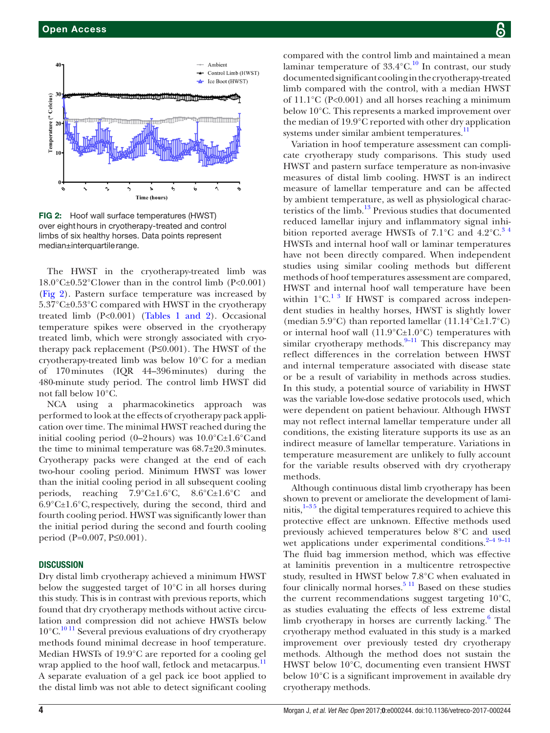

<span id="page-3-0"></span>FIG 2: Hoof wall surface temperatures (HWST) over eighthours in cryotherapy-treated and control limbs of six healthy horses. Data points represent median±interquartilerange.

The HWST in the cryotherapy-treated limb was  $18.0^{\circ}$ C $\pm$ 0.52°Clower than in the control limb (P<0.001) [\(Fig 2\)](#page-3-0). Pastern surface temperature was increased by 5.37°C±0.53°C compared with HWST in the cryotherapy treated limb (P<0.001) [\(Tables 1 and 2](#page-2-0)). Occasional temperature spikes were observed in the cryotherapy treated limb, which were strongly associated with cryotherapy pack replacement (P≤0.001). The HWST of the cryotherapy-treated limb was below 10°C for a median of 170minutes (IQR 44–396minutes) during the 480-minute study period. The control limb HWST did not fall below 10°C.

NCA using a pharmacokinetics approach was performed to look at the effects of cryotherapy pack application over time. The minimal HWST reached during the initial cooling period (0–2 hours) was  $10.0^{\circ}$ C $\pm$ 1.6°C and the time to minimal temperature was 68.7±20.3minutes. Cryotherapy packs were changed at the end of each two-hour cooling period. Minimum HWST was lower than the initial cooling period in all subsequent cooling periods, reaching 7.9°C±1.6°C, 8.6°C±1.6°C and  $6.9^{\circ}$ C $\pm$ 1.6°C, respectively, during the second, third and fourth cooling period. HWST was significantly lower than the initial period during the second and fourth cooling period (P=0.007, P≤0.001).

#### **DISCUSSION**

Dry distal limb cryotherapy achieved a minimum HWST below the suggested target of 10°C in all horses during this study. This is in contrast with previous reports, which found that dry cryotherapy methods without active circulation and compression did not achieve HWSTs below 10°C.[10 11](#page-5-7) Several previous evaluations of dry cryotherapy methods found minimal decrease in hoof temperature. Median HWSTs of 19.9°C are reported for a cooling gel wrap applied to the hoof wall, fetlock and metacarpus.<sup>[11](#page-5-6)</sup> A separate evaluation of a gel pack ice boot applied to the distal limb was not able to detect significant cooling compared with the control limb and maintained a mean laminar temperature of  $33.4^{\circ}$ C.<sup>10</sup> In contrast, our study documented significant cooling in the cryotherapy-treated limb compared with the control, with a median HWST of 11.1°C (P<0.001) and all horses reaching a minimum below 10°C. This represents a marked improvement over the median of 19.9°C reported with other dry application systems under similar ambient temperatures.<sup>11</sup>

Variation in hoof temperature assessment can complicate cryotherapy study comparisons. This study used HWST and pastern surface temperature as non-invasive measures of distal limb cooling. HWST is an indirect measure of lamellar temperature and can be affected by ambient temperature, as well as physiological characteristics of the  $limb.<sup>13</sup>$  $limb.<sup>13</sup>$  $limb.<sup>13</sup>$  Previous studies that documented reduced lamellar injury and inflammatory signal inhibition reported average HWSTs of 7.1°C and 4.2°C.<sup>34</sup> HWSTs and internal hoof wall or laminar temperatures have not been directly compared. When independent studies using similar cooling methods but different methods of hoof temperatures assessment are compared, HWST and internal hoof wall temperature have been within  $1^{\circ}$ C.<sup>1 3</sup> If HWST is compared across independent studies in healthy horses, HWST is slightly lower (median  $5.9^{\circ}$ C) than reported lamellar (11.14 $^{\circ}$ C $\pm$ 1.7 $^{\circ}$ C) or internal hoof wall (11.9°C±1.0°C) temperatures with similar cryotherapy methods. $9-11$  This discrepancy may reflect differences in the correlation between HWST and internal temperature associated with disease state or be a result of variability in methods across studies. In this study, a potential source of variability in HWST was the variable low-dose sedative protocols used, which were dependent on patient behaviour. Although HWST may not reflect internal lamellar temperature under all conditions, the existing literature supports its use as an indirect measure of lamellar temperature. Variations in temperature measurement are unlikely to fully account for the variable results observed with dry cryotherapy methods.

Although continuous distal limb cryotherapy has been shown to prevent or ameliorate the development of laminitis, $1-35$  the digital temperatures required to achieve this protective effect are unknown. Effective methods used previously achieved temperatures below 8°C and used wet applications under experimental conditions. $2-4$  9-11 The fluid bag immersion method, which was effective at laminitis prevention in a multicentre retrospective study, resulted in HWST below 7.8°C when evaluated in four clinically normal horses.<sup>[5 11](#page-5-1)</sup> Based on these studies the current recommendations suggest targeting 10°C, as studies evaluating the effects of less extreme distal limb cryotherapy in horses are currently lacking.<sup>[6](#page-5-2)</sup> The cryotherapy method evaluated in this study is a marked improvement over previously tested dry cryotherapy methods. Although the method does not sustain the HWST below 10°C, documenting even transient HWST below 10°C is a significant improvement in available dry cryotherapy methods.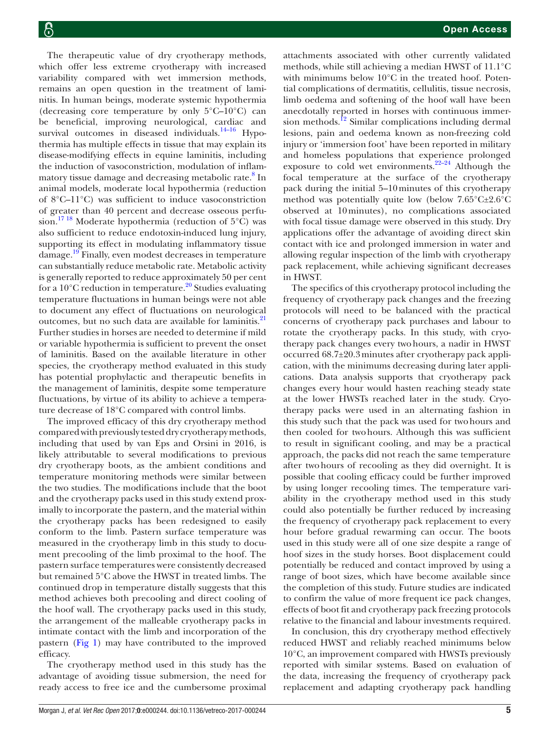is generally reported to reduce approximately 50 per cent The therapeutic value of dry cryotherapy methods, which offer less extreme cryotherapy with increased variability compared with wet immersion methods, remains an open question in the treatment of laminitis. In human beings, moderate systemic hypothermia (decreasing core temperature by only  $5^{\circ}$ C–10<sup>°</sup>C) can be beneficial, improving neurological, cardiac and survival outcomes in diseased individuals. $14-16$  Hypothermia has multiple effects in tissue that may explain its disease-modifying effects in equine laminitis, including the induction of vasoconstriction, modulation of inflam-matory tissue damage and decreasing metabolic rate.<sup>[8](#page-5-4)</sup> In animal models, moderate local hypothermia (reduction of 8°C–11°C) was sufficient to induce vasoconstriction of greater than 40 percent and decrease osseous perfusion.<sup>17 18</sup> Moderate hypothermia (reduction of  $5^{\circ}$ C) was also sufficient to reduce endotoxin-induced lung injury, supporting its effect in modulating inflammatory tissue damage.<sup>19</sup> Finally, even modest decreases in temperature can substantially reduce metabolic rate. Metabolic activity for a  $10^{\circ}$ C reduction in temperature.<sup>20</sup> Studies evaluating temperature fluctuations in human beings were not able to document any effect of fluctuations on neurological outcomes, but no such data are available for laminitis.<sup>[21](#page-5-16)</sup> Further studies in horses are needed to determine if mild or variable hypothermia is sufficient to prevent the onset of laminitis. Based on the available literature in other species, the cryotherapy method evaluated in this study has potential prophylactic and therapeutic benefits in the management of laminitis, despite some temperature fluctuations, by virtue of its ability to achieve a temperature decrease of 18°C compared with control limbs.

The improved efficacy of this dry cryotherapy method compared with previously tested dry cryotherapy methods, including that used by van Eps and Orsini in 2016, is likely attributable to several modifications to previous dry cryotherapy boots, as the ambient conditions and temperature monitoring methods were similar between the two studies. The modifications include that the boot and the cryotherapy packs used in this study extend proximally to incorporate the pastern, and the material within the cryotherapy packs has been redesigned to easily conform to the limb. Pastern surface temperature was measured in the cryotherapy limb in this study to document precooling of the limb proximal to the hoof. The pastern surface temperatures were consistently decreased but remained 5°C above the HWST in treated limbs. The continued drop in temperature distally suggests that this method achieves both precooling and direct cooling of the hoof wall. The cryotherapy packs used in this study, the arrangement of the malleable cryotherapy packs in intimate contact with the limb and incorporation of the pastern ([Fig 1\)](#page-1-0) may have contributed to the improved efficacy.

The cryotherapy method used in this study has the advantage of avoiding tissue submersion, the need for ready access to free ice and the cumbersome proximal

attachments associated with other currently validated methods, while still achieving a median HWST of 11.1°C with minimums below 10°C in the treated hoof. Potential complications of dermatitis, cellulitis, tissue necrosis, limb oedema and softening of the hoof wall have been anecdotally reported in horses with continuous immer-sion methods.<sup>[12](#page-5-5)</sup> Similar complications including dermal lesions, pain and oedema known as non-freezing cold injury or 'immersion foot' have been reported in military and homeless populations that experience prolonged exposure to cold wet environments.<sup>22–24</sup> Although the focal temperature at the surface of the cryotherapy pack during the initial 5–10minutes of this cryotherapy method was potentially quite low (below 7.65°C±2.6°C observed at 10 minutes), no complications associated with focal tissue damage were observed in this study. Dry applications offer the advantage of avoiding direct skin contact with ice and prolonged immersion in water and allowing regular inspection of the limb with cryotherapy pack replacement, while achieving significant decreases in HWST.

The specifics of this cryotherapy protocol including the frequency of cryotherapy pack changes and the freezing protocols will need to be balanced with the practical concerns of cryotherapy pack purchases and labour to rotate the cryotherapy packs. In this study, with cryotherapy pack changes every two hours, a nadir in HWST occurred 68.7±20.3minutes after cryotherapy pack application, with the minimums decreasing during later applications. Data analysis supports that cryotherapy pack changes every hour would hasten reaching steady state at the lower HWSTs reached later in the study. Cryotherapy packs were used in an alternating fashion in this study such that the pack was used for two hours and then cooled for two hours. Although this was sufficient to result in significant cooling, and may be a practical approach, the packs did not reach the same temperature after twohours of recooling as they did overnight. It is possible that cooling efficacy could be further improved by using longer recooling times. The temperature variability in the cryotherapy method used in this study could also potentially be further reduced by increasing the frequency of cryotherapy pack replacement to every hour before gradual rewarming can occur. The boots used in this study were all of one size despite a range of hoof sizes in the study horses. Boot displacement could potentially be reduced and contact improved by using a range of boot sizes, which have become available since the completion of this study. Future studies are indicated to confirm the value of more frequent ice pack changes, effects of boot fit and cryotherapy pack freezing protocols relative to the financial and labour investments required.

In conclusion, this dry cryotherapy method effectively reduced HWST and reliably reached minimums below 10°C, an improvement compared with HWSTs previously reported with similar systems. Based on evaluation of the data, increasing the frequency of cryotherapy pack replacement and adapting cryotherapy pack handling